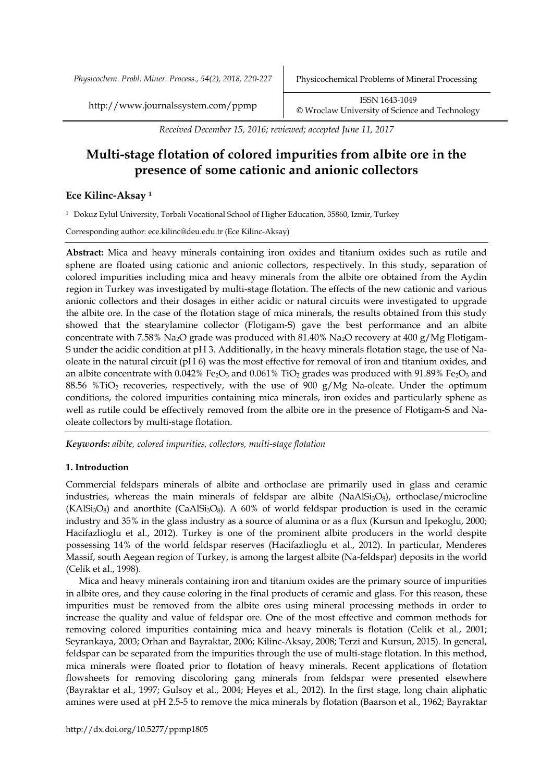*Received December 15, 2016; reviewed; accepted June 11, 2017*

# **Multi-stage flotation of colored impurities from albite ore in the presence of some cationic and anionic collectors**

# **Ece Kilinc-Aksay <sup>1</sup>**

<sup>1</sup> Dokuz Eylul University, Torbali Vocational School of Higher Education, 35860, Izmir, Turkey

Corresponding author: ece.kilinc@deu.edu.tr (Ece Kilinc-Aksay)

**Abstract:** Mica and heavy minerals containing iron oxides and titanium oxides such as rutile and sphene are floated using cationic and anionic collectors, respectively. In this study, separation of colored impurities including mica and heavy minerals from the albite ore obtained from the Aydin region in Turkey was investigated by multi-stage flotation. The effects of the new cationic and various anionic collectors and their dosages in either acidic or natural circuits were investigated to upgrade the albite ore. In the case of the flotation stage of mica minerals, the results obtained from this study showed that the stearylamine collector (Flotigam-S) gave the best performance and an albite concentrate with 7.58% Na<sub>2</sub>O grade was produced with 81.40% Na<sub>2</sub>O recovery at 400 g/Mg Flotigam-S under the acidic condition at pH 3. Additionally, in the heavy minerals flotation stage, the use of Naoleate in the natural circuit (pH 6) was the most effective for removal of iron and titanium oxides, and an albite concentrate with 0.042% Fe<sub>2</sub>O<sub>3</sub> and 0.061% TiO<sub>2</sub> grades was produced with 91.89% Fe<sub>2</sub>O<sub>3</sub> and 88.56 %TiO<sub>2</sub> recoveries, respectively, with the use of 900 g/Mg Na-oleate. Under the optimum conditions, the colored impurities containing mica minerals, iron oxides and particularly sphene as well as rutile could be effectively removed from the albite ore in the presence of Flotigam-S and Naoleate collectors by multi-stage flotation.

*Keywords: albite, colored impurities, collectors, multi-stage flotation*

# **1. Introduction**

Commercial feldspars minerals of albite and orthoclase are primarily used in glass and ceramic industries, whereas the main minerals of feldspar are albite ( $NaAlSi<sub>3</sub>O<sub>8</sub>$ ), orthoclase/microcline  $(KAISi<sub>3</sub>O<sub>8</sub>)$  and anorthite  $(CaAISi<sub>3</sub>O<sub>8</sub>)$ . A 60% of world feldspar production is used in the ceramic industry and 35% in the glass industry as a source of alumina or as a flux (Kursun and Ipekoglu, 2000; Hacifazlioglu et al., 2012). Turkey is one of the prominent albite producers in the world despite possessing 14% of the world feldspar reserves (Hacifazlioglu et al., 2012). In particular, Menderes Massif, south Aegean region of Turkey, is among the largest albite (Na-feldspar) deposits in the world (Celik et al., 1998).

Mica and heavy minerals containing iron and titanium oxides are the primary source of impurities in albite ores, and they cause coloring in the final products of ceramic and glass. For this reason, these impurities must be removed from the albite ores using mineral processing methods in order to increase the quality and value of feldspar ore. One of the most effective and common methods for removing colored impurities containing mica and heavy minerals is flotation (Celik et al., 2001; Seyrankaya, 2003; Orhan and Bayraktar, 2006; Kilinc-Aksay, 2008; Terzi and Kursun, 2015). In general, feldspar can be separated from the impurities through the use of multi-stage flotation. In this method, mica minerals were floated prior to flotation of heavy minerals. Recent applications of flotation flowsheets for removing discoloring gang minerals from feldspar were presented elsewhere (Bayraktar et al., 1997; Gulsoy et al., 2004; Heyes et al., 2012). In the first stage, long chain aliphatic amines were used at pH 2.5-5 to remove the mica minerals by flotation (Baarson et al., 1962; Bayraktar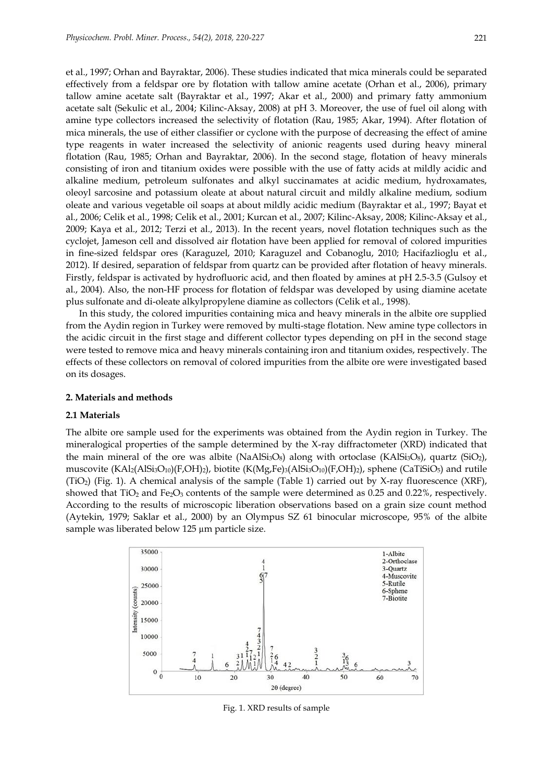et al., 1997; Orhan and Bayraktar, 2006). These studies indicated that mica minerals could be separated effectively from a feldspar ore by flotation with tallow amine acetate (Orhan et al., 2006), primary tallow amine acetate salt (Bayraktar et al., 1997; Akar et al., 2000) and primary fatty ammonium acetate salt (Sekulic et al., 2004; Kilinc-Aksay, 2008) at pH 3. Moreover, the use of fuel oil along with amine type collectors increased the selectivity of flotation (Rau, 1985; Akar, 1994). After flotation of mica minerals, the use of either classifier or cyclone with the purpose of decreasing the effect of amine type reagents in water increased the selectivity of anionic reagents used during heavy mineral flotation (Rau, 1985; Orhan and Bayraktar, 2006). In the second stage, flotation of heavy minerals consisting of iron and titanium oxides were possible with the use of fatty acids at mildly acidic and alkaline medium, petroleum sulfonates and alkyl succinamates at acidic medium, hydroxamates, oleoyl sarcosine and potassium oleate at about natural circuit and mildly alkaline medium, sodium oleate and various vegetable oil soaps at about mildly acidic medium (Bayraktar et al., 1997; Bayat et al., 2006; Celik et al., 1998; Celik et al., 2001; Kurcan et al., 2007; Kilinc-Aksay, 2008; Kilinc-Aksay et al., 2009; Kaya et al., 2012; Terzi et al., 2013). In the recent years, novel flotation techniques such as the cyclojet, Jameson cell and dissolved air flotation have been applied for removal of colored impurities in fine-sized feldspar ores (Karaguzel, 2010; Karaguzel and Cobanoglu, 2010; Hacifazlioglu et al., 2012). If desired, separation of feldspar from quartz can be provided after flotation of heavy minerals. Firstly, feldspar is activated by hydrofluoric acid, and then floated by amines at pH 2.5-3.5 (Gulsoy et al., 2004). Also, the non-HF process for flotation of feldspar was developed by using diamine acetate plus sulfonate and di-oleate alkylpropylene diamine as collectors (Celik et al., 1998).

In this study, the colored impurities containing mica and heavy minerals in the albite ore supplied from the Aydin region in Turkey were removed by multi-stage flotation. New amine type collectors in the acidic circuit in the first stage and different collector types depending on pH in the second stage were tested to remove mica and heavy minerals containing iron and titanium oxides, respectively. The effects of these collectors on removal of colored impurities from the albite ore were investigated based on its dosages.

#### **2. Materials and methods**

#### **2.1 Materials**

The albite ore sample used for the experiments was obtained from the Aydin region in Turkey. The mineralogical properties of the sample determined by the X-ray diffractometer (XRD) indicated that the main mineral of the ore was albite (NaAlSi<sub>3</sub>O<sub>8</sub>) along with ortoclase (KAlSi<sub>3</sub>O<sub>8</sub>), quartz (SiO<sub>2</sub>), muscovite  $(KAI_2(ASI_3O_{10})(F,OH)_2)$ , biotite  $(K(Mg,Fe)_3(ASI_3O_{10})(F,OH)_2)$ , sphene (CaTiSiO<sub>5</sub>) and rutile (TiO2) (Fig. 1). A chemical analysis of the sample (Table 1) carried out by X-ray fluorescence (XRF), showed that  $TiO<sub>2</sub>$  and  $Fe<sub>2</sub>O<sub>3</sub>$  contents of the sample were determined as 0.25 and 0.22%, respectively. According to the results of microscopic liberation observations based on a grain size count method (Aytekin, 1979; Saklar et al., 2000) by an Olympus SZ 61 binocular microscope, 95% of the albite sample was liberated below 125 µm particle size.



Fig. 1. XRD results of sample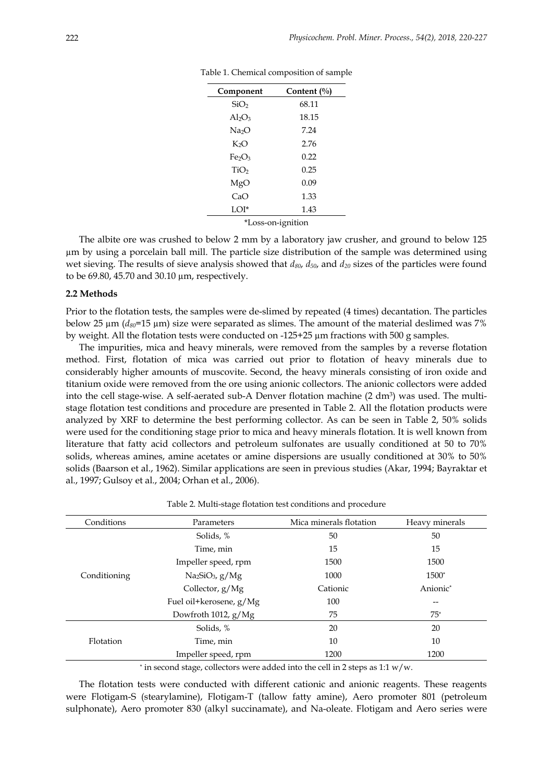| Component                      | Content (%) |  |  |
|--------------------------------|-------------|--|--|
| SiO <sub>2</sub>               | 68.11       |  |  |
| $Al_2O_3$                      | 18.15       |  |  |
| Na <sub>2</sub> O              | 7.24        |  |  |
| K <sub>2</sub> O               | 2.76        |  |  |
| Fe <sub>2</sub> O <sub>3</sub> | 0.22        |  |  |
| TiO <sub>2</sub>               | 0.25        |  |  |
| MgO                            | 0.09        |  |  |
| CaO                            | 1.33        |  |  |
| LOI*                           | 1.43        |  |  |
| *T<br>oss on ignition          |             |  |  |

Table 1. Chemical composition of sample

\*Loss-on-ignition

The albite ore was crushed to below 2 mm by a laboratory jaw crusher, and ground to below 125 µm by using a porcelain ball mill. The particle size distribution of the sample was determined using wet sieving. The results of sieve analysis showed that *d80*, *d50*, and *d<sup>20</sup>* sizes of the particles were found to be 69.80, 45.70 and 30.10 µm, respectively.

## **2.2 Methods**

Prior to the flotation tests, the samples were de-slimed by repeated (4 times) decantation. The particles below 25 µm (*d80*=15 µm) size were separated as slimes. The amount of the material deslimed was 7% by weight. All the flotation tests were conducted on  $-125+25 \mu m$  fractions with 500 g samples.

The impurities, mica and heavy minerals, were removed from the samples by a reverse flotation method. First, flotation of mica was carried out prior to flotation of heavy minerals due to considerably higher amounts of muscovite. Second, the heavy minerals consisting of iron oxide and titanium oxide were removed from the ore using anionic collectors. The anionic collectors were added into the cell stage-wise. A self-aerated sub-A Denver flotation machine  $(2 \text{ dm}^3)$  was used. The multistage flotation test conditions and procedure are presented in Table 2. All the flotation products were analyzed by XRF to determine the best performing collector. As can be seen in Table 2, 50% solids were used for the conditioning stage prior to mica and heavy minerals flotation. It is well known from literature that fatty acid collectors and petroleum sulfonates are usually conditioned at 50 to 70% solids, whereas amines, amine acetates or amine dispersions are usually conditioned at 30% to 50% solids (Baarson et al., 1962). Similar applications are seen in previous studies (Akar, 1994; Bayraktar et al., 1997; Gulsoy et al., 2004; Orhan et al., 2006).

|  | Table 2. Multi-stage flotation test conditions and procedure |  |
|--|--------------------------------------------------------------|--|
|  |                                                              |  |

| Conditions   | Parameters              | Mica minerals flotation | Heavy minerals       |
|--------------|-------------------------|-------------------------|----------------------|
|              | Solids, %               | 50                      | 50                   |
| Conditioning | Time, min               | 15                      | 15                   |
|              | Impeller speed, rpm     | 1500                    | 1500                 |
|              | $Na2SiO3$ , g/Mg        | 1000                    | $1500*$              |
|              | Collector, g/Mg         | Cationic                | Anionic <sup>*</sup> |
|              | Fuel oil+kerosene, g/Mg | 100                     | --                   |
|              | Dowfroth 1012, g/Mg     | 75                      | $75*$                |
| Flotation    | Solids, %               | 20                      | 20                   |
|              | Time, min               | 10                      | 10                   |
|              | Impeller speed, rpm     | 1200                    | 1200                 |
|              |                         |                         |                      |

\* in second stage, collectors were added into the cell in 2 steps as 1:1 w/w.

The flotation tests were conducted with different cationic and anionic reagents. These reagents were Flotigam-S (stearylamine), Flotigam-T (tallow fatty amine), Aero promoter 801 (petroleum sulphonate), Aero promoter 830 (alkyl succinamate), and Na-oleate. Flotigam and Aero series were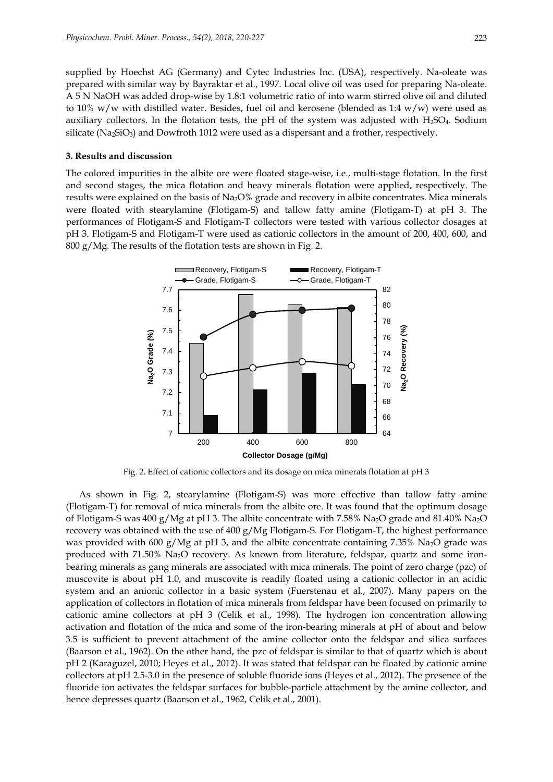supplied by Hoechst AG (Germany) and Cytec Industries Inc. (USA), respectively. Na-oleate was prepared with similar way by Bayraktar et al., 1997. Local olive oil was used for preparing Na-oleate. A 5 N NaOH was added drop-wise by 1.8:1 volumetric ratio of into warm stirred olive oil and diluted to 10% w/w with distilled water. Besides, fuel oil and kerosene (blended as 1:4 w/w) were used as auxiliary collectors. In the flotation tests, the pH of the system was adjusted with H2SO4. Sodium silicate ( $Na_2SiO_3$ ) and Dowfroth 1012 were used as a dispersant and a frother, respectively.

## **3. Results and discussion**

The colored impurities in the albite ore were floated stage-wise, i.e., multi-stage flotation. In the first and second stages, the mica flotation and heavy minerals flotation were applied, respectively. The results were explained on the basis of Na2O% grade and recovery in albite concentrates. Mica minerals were floated with stearylamine (Flotigam-S) and tallow fatty amine (Flotigam-T) at pH 3. The performances of Flotigam-S and Flotigam-T collectors were tested with various collector dosages at pH 3. Flotigam-S and Flotigam-T were used as cationic collectors in the amount of 200, 400, 600, and 800 g/Mg. The results of the flotation tests are shown in Fig. 2.



Fig. 2. Effect of cationic collectors and its dosage on mica minerals flotation at pH 3

As shown in Fig. 2, stearylamine (Flotigam-S) was more effective than tallow fatty amine (Flotigam-T) for removal of mica minerals from the albite ore. It was found that the optimum dosage of Flotigam-S was 400 g/Mg at pH 3. The albite concentrate with 7.58% Na<sub>2</sub>O grade and 81.40% Na<sub>2</sub>O recovery was obtained with the use of 400 g/Mg Flotigam-S. For Flotigam-T, the highest performance was provided with 600 g/Mg at pH 3, and the albite concentrate containing 7.35% Na<sub>2</sub>O grade was produced with 71.50% Na2O recovery. As known from literature, feldspar, quartz and some ironbearing minerals as gang minerals are associated with mica minerals. The point of zero charge (pzc) of muscovite is about pH 1.0, and muscovite is readily floated using a cationic collector in an acidic system and an anionic collector in a basic system (Fuerstenau et al., 2007). Many papers on the application of collectors in flotation of mica minerals from feldspar have been focused on primarily to cationic amine collectors at pH 3 (Celik et al., 1998). The hydrogen ion concentration allowing activation and flotation of the mica and some of the iron-bearing minerals at pH of about and below 3.5 is sufficient to prevent attachment of the amine collector onto the feldspar and silica surfaces (Baarson et al., 1962). On the other hand, the pzc of feldspar is similar to that of quartz which is about pH 2 (Karaguzel, 2010; Heyes et al., 2012). It was stated that feldspar can be floated by cationic amine collectors at pH 2.5-3.0 in the presence of soluble fluoride ions (Heyes et al., 2012). The presence of the fluoride ion activates the feldspar surfaces for bubble-particle attachment by the amine collector, and hence depresses quartz (Baarson et al., 1962, Celik et al., 2001).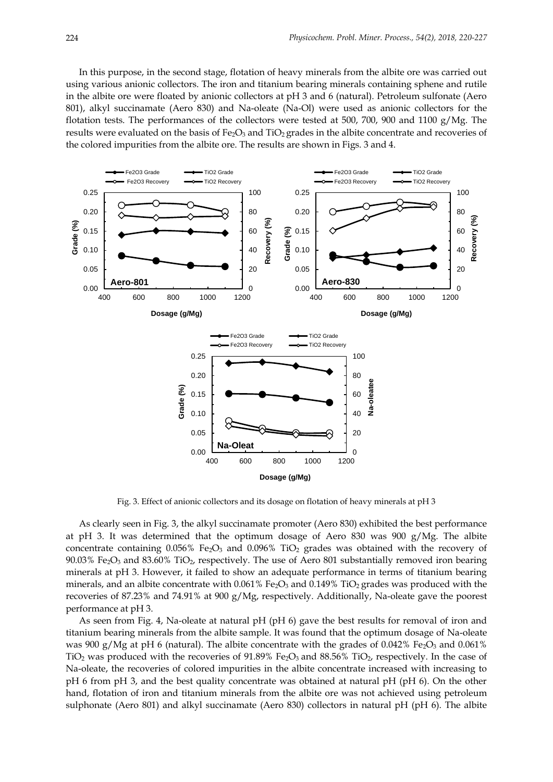In this purpose, in the second stage, flotation of heavy minerals from the albite ore was carried out using various anionic collectors. The iron and titanium bearing minerals containing sphene and rutile in the albite ore were floated by anionic collectors at pH 3 and 6 (natural). Petroleum sulfonate (Aero 801), alkyl succinamate (Aero 830) and Na-oleate (Na-Ol) were used as anionic collectors for the flotation tests. The performances of the collectors were tested at 500, 700, 900 and 1100  $g/Mg$ . The results were evaluated on the basis of Fe<sub>2</sub>O<sub>3</sub> and TiO<sub>2</sub> grades in the albite concentrate and recoveries of the colored impurities from the albite ore. The results are shown in Figs. 3 and 4.



Fig. 3. Effect of anionic collectors and its dosage on flotation of heavy minerals at pH 3

As clearly seen in Fig. 3, the alkyl succinamate promoter (Aero 830) exhibited the best performance at pH 3. It was determined that the optimum dosage of Aero 830 was 900  $g/Mg$ . The albite concentrate containing  $0.056\%$  Fe<sub>2</sub>O<sub>3</sub> and  $0.096\%$  TiO<sub>2</sub> grades was obtained with the recovery of 90.03% Fe<sub>2</sub>O<sub>3</sub> and 83.60% TiO<sub>2</sub>, respectively. The use of Aero 801 substantially removed iron bearing minerals at pH 3. However, it failed to show an adequate performance in terms of titanium bearing minerals, and an albite concentrate with  $0.061\%$  Fe<sub>2</sub>O<sub>3</sub> and  $0.149\%$  TiO<sub>2</sub> grades was produced with the recoveries of 87.23% and 74.91% at 900 g/Mg, respectively. Additionally, Na-oleate gave the poorest performance at pH 3.

As seen from Fig. 4, Na-oleate at natural pH (pH 6) gave the best results for removal of iron and titanium bearing minerals from the albite sample. It was found that the optimum dosage of Na-oleate was 900 g/Mg at pH 6 (natural). The albite concentrate with the grades of 0.042% Fe<sub>2</sub>O<sub>3</sub> and 0.061% TiO<sub>2</sub> was produced with the recoveries of 91.89% Fe<sub>2</sub>O<sub>3</sub> and 88.56% TiO<sub>2</sub>, respectively. In the case of Na-oleate, the recoveries of colored impurities in the albite concentrate increased with increasing to pH 6 from pH 3, and the best quality concentrate was obtained at natural pH (pH 6). On the other hand, flotation of iron and titanium minerals from the albite ore was not achieved using petroleum sulphonate (Aero 801) and alkyl succinamate (Aero 830) collectors in natural pH (pH 6). The albite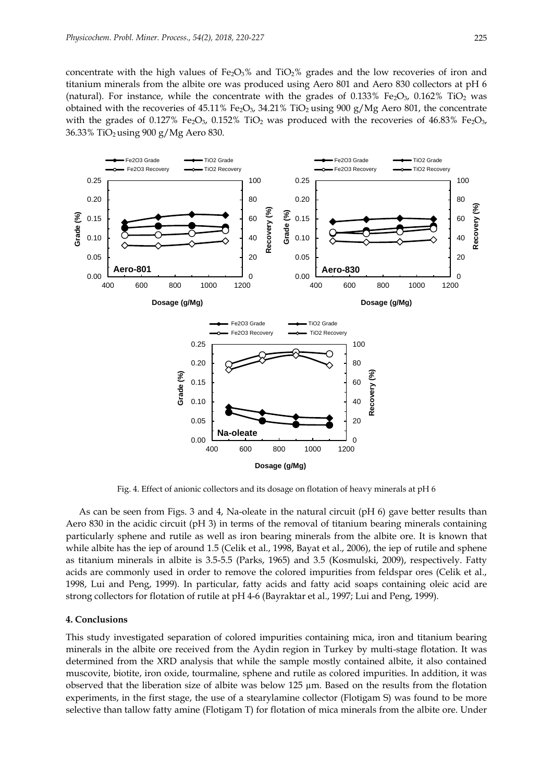concentrate with the high values of Fe<sub>2</sub>O<sub>3</sub>% and TiO<sub>2</sub>% grades and the low recoveries of iron and titanium minerals from the albite ore was produced using Aero 801 and Aero 830 collectors at pH 6 (natural). For instance, while the concentrate with the grades of 0.133% Fe<sub>2</sub>O<sub>3</sub>, 0.162% TiO<sub>2</sub> was obtained with the recoveries of 45.11% Fe<sub>2</sub>O<sub>3</sub>, 34.21% TiO<sub>2</sub> using 900 g/Mg Aero 801, the concentrate with the grades of 0.127% Fe<sub>2</sub>O<sub>3</sub>, 0.152% TiO<sub>2</sub> was produced with the recoveries of 46.83% Fe<sub>2</sub>O<sub>3</sub>, 36.33% TiO2 using 900 g/Mg Aero 830.



Fig. 4. Effect of anionic collectors and its dosage on flotation of heavy minerals at pH 6

As can be seen from Figs. 3 and 4, Na-oleate in the natural circuit (pH 6) gave better results than Aero 830 in the acidic circuit (pH 3) in terms of the removal of titanium bearing minerals containing particularly sphene and rutile as well as iron bearing minerals from the albite ore. It is known that while albite has the iep of around 1.5 (Celik et al., 1998, Bayat et al., 2006), the iep of rutile and sphene as titanium minerals in albite is 3.5-5.5 (Parks, 1965) and 3.5 (Kosmulski, 2009), respectively. Fatty acids are commonly used in order to remove the colored impurities from feldspar ores (Celik et al., 1998, Lui and Peng, 1999). In particular, fatty acids and fatty acid soaps containing oleic acid are strong collectors for flotation of rutile at pH 4-6 (Bayraktar et al., 1997; Lui and Peng, 1999).

#### **4. Conclusions**

This study investigated separation of colored impurities containing mica, iron and titanium bearing minerals in the albite ore received from the Aydin region in Turkey by multi-stage flotation. It was determined from the XRD analysis that while the sample mostly contained albite, it also contained muscovite, biotite, iron oxide, tourmaline, sphene and rutile as colored impurities. In addition, it was observed that the liberation size of albite was below 125  $\mu$ m. Based on the results from the flotation experiments, in the first stage, the use of a stearylamine collector (Flotigam S) was found to be more selective than tallow fatty amine (Flotigam T) for flotation of mica minerals from the albite ore. Under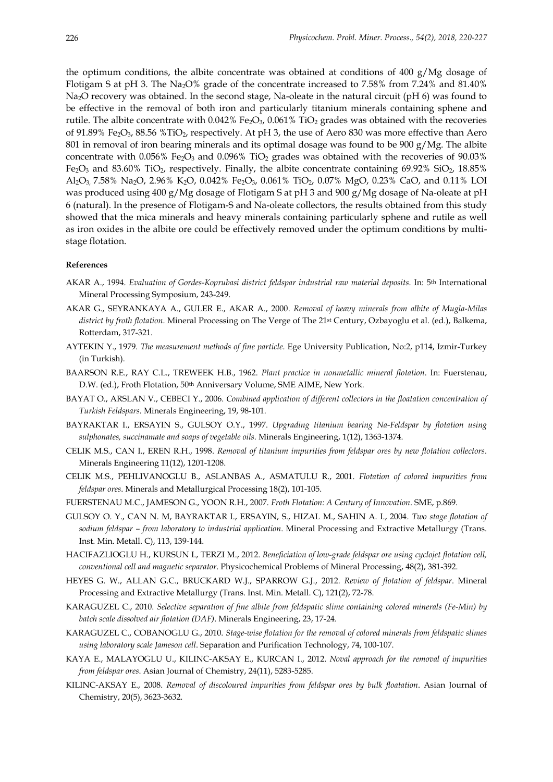the optimum conditions, the albite concentrate was obtained at conditions of 400  $g/Mg$  dosage of Flotigam S at pH 3. The Na2O% grade of the concentrate increased to 7.58% from 7.24% and 81.40% Na2O recovery was obtained. In the second stage, Na-oleate in the natural circuit (pH 6) was found to be effective in the removal of both iron and particularly titanium minerals containing sphene and rutile. The albite concentrate with  $0.042\%$  Fe<sub>2</sub>O<sub>3</sub>,  $0.061\%$  TiO<sub>2</sub> grades was obtained with the recoveries of 91.89% Fe2O3, 88.56 %TiO2, respectively. At pH 3, the use of Aero 830 was more effective than Aero 801 in removal of iron bearing minerals and its optimal dosage was found to be 900 g/Mg. The albite concentrate with  $0.056\%$  Fe<sub>2</sub>O<sub>3</sub> and  $0.096\%$  TiO<sub>2</sub> grades was obtained with the recoveries of  $90.03\%$ Fe<sub>2</sub>O<sub>3</sub> and 83.60% TiO<sub>2</sub>, respectively. Finally, the albite concentrate containing 69.92% SiO<sub>2</sub>, 18.85% Al<sub>2</sub>O<sub>3</sub>, 7.58% Na<sub>2</sub>O, 2.96% K<sub>2</sub>O, 0.042% Fe<sub>2</sub>O<sub>3</sub>, 0.061% TiO<sub>2</sub>, 0.07% MgO, 0.23% CaO, and 0.11% LOI was produced using 400 g/Mg dosage of Flotigam S at pH 3 and 900 g/Mg dosage of Na-oleate at pH 6 (natural). In the presence of Flotigam-S and Na-oleate collectors, the results obtained from this study showed that the mica minerals and heavy minerals containing particularly sphene and rutile as well as iron oxides in the albite ore could be effectively removed under the optimum conditions by multistage flotation.

### **References**

- AKAR A., 1994. *Evaluation of Gordes-Koprubasi district feldspar industrial raw material deposits*. In: 5th International Mineral Processing Symposium, 243-249.
- AKAR G., SEYRANKAYA A., GULER E., AKAR A., 2000. *Removal of heavy minerals from albite of Mugla-Milas district by froth flotation*. Mineral Processing on The Verge of The 21st Century, Ozbayoglu et al. (ed.), Balkema, Rotterdam, 317-321.
- AYTEKIN Y., 1979. *The measurement methods of fine particle*. Ege University Publication, No:2, p114, Izmir-Turkey (in Turkish).
- BAARSON R.E., RAY C.L., TREWEEK H.B., 1962. *Plant practice in nonmetallic mineral flotation*. In: Fuerstenau, D.W. (ed.), Froth Flotation, 50<sup>th</sup> Anniversary Volume, SME AIME, New York.
- BAYAT O., ARSLAN V., CEBECI Y., 2006. Combined application of different collectors in the floatation concentration of *Turkish Feldspars*. Minerals Engineering, 19, 98-101.
- BAYRAKTAR I., ERSAYIN S., GULSOY O.Y., 1997. *Upgrading titanium bearing Na-Feldspar by flotation using sulphonates, succinamate and soaps of vegetable oils*. Minerals Engineering, 1(12), 1363-1374.
- CELIK M.S., CAN I., EREN R.H., 1998. *Removal of titanium impurities from feldspar ores by new flotation collectors*. Minerals Engineering 11(12), 1201-1208.
- CELIK M.S., PEHLIVANOGLU B., ASLANBAS A., ASMATULU R., 2001. *Flotation of colored impurities from feldspar ores*. Minerals and Metallurgical Processing 18(2), 101-105.
- FUERSTENAU M.C., JAMESON G., YOON R.H., 2007. *Froth Flotation: A Century of Innovation*. SME, p.869.
- GULSOY O. Y., CAN N. M, BAYRAKTAR I., ERSAYIN, S., HIZAL M., SAHIN A. I., 2004. *Two stage flotation of sodium feldspar – from laboratory to industrial application*. Mineral Processing and Extractive Metallurgy (Trans. Inst. Min. Metall. C), 113, 139-144.
- HACIFAZLIOGLU H., KURSUN I., TERZI M., 2012. *Beneficiation of low-grade feldspar ore using cyclojet flotation cell, conventional cell and magnetic separator*. Physicochemical Problems of Mineral Processing, 48(2), 381-392.
- HEYES G. W., ALLAN G.C., BRUCKARD W.J., SPARROW G.J., 2012. *Review of flotation of feldspar*. Mineral Processing and Extractive Metallurgy (Trans. Inst. Min. Metall. C), 121(2), 72-78.
- KARAGUZEL C., 2010. *Selective separation of fine albite from feldspatic slime containing colored minerals (Fe-Min) by batch scale dissolved air flotation (DAF)*. Minerals Engineering, 23, 17-24.
- KARAGUZEL C., COBANOGLU G., 2010. *Stage-wise flotation for the removal of colored minerals from feldspatic slimes using laboratory scale Jameson cell*. Separation and Purification Technology, 74, 100-107.
- KAYA E., MALAYOGLU U., KILINC-AKSAY E., KURCAN I., 2012. *Noval approach for the removal of impurities from feldspar ores*. Asian Journal of Chemistry, 24(11), 5283-5285.
- KILINC-AKSAY E., 2008. *Removal of discoloured impurities from feldspar ores by bulk floatation*. Asian Journal of Chemistry, 20(5), 3623-3632.